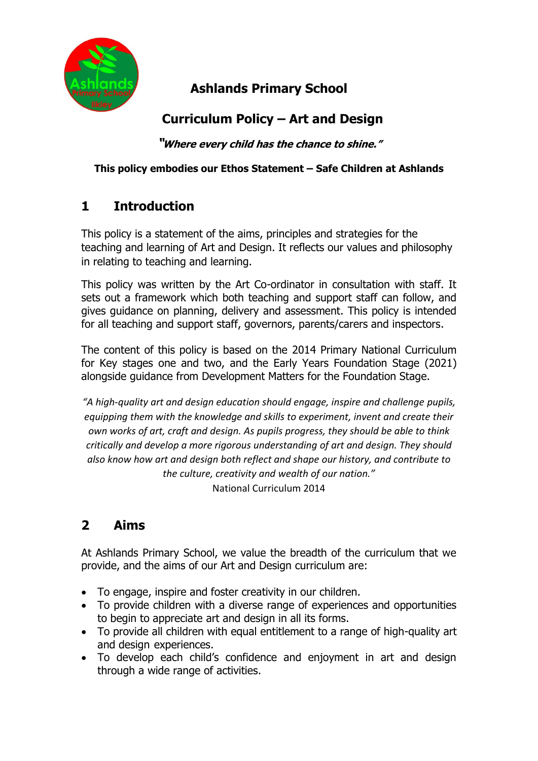

## **Ashlands Primary School**

# **Curriculum Policy – Art and Design**

**"Where every child has the chance to shine."**

#### **This policy embodies our Ethos Statement – Safe Children at Ashlands**

## **1 Introduction**

This policy is a statement of the aims, principles and strategies for the teaching and learning of Art and Design. It reflects our values and philosophy in relating to teaching and learning.

This policy was written by the Art Co-ordinator in consultation with staff. It sets out a framework which both teaching and support staff can follow, and gives guidance on planning, delivery and assessment. This policy is intended for all teaching and support staff, governors, parents/carers and inspectors.

The content of this policy is based on the 2014 Primary National Curriculum for Key stages one and two, and the Early Years Foundation Stage (2021) alongside guidance from Development Matters for the Foundation Stage.

*"A high-quality art and design education should engage, inspire and challenge pupils, equipping them with the knowledge and skills to experiment, invent and create their own works of art, craft and design. As pupils progress, they should be able to think critically and develop a more rigorous understanding of art and design. They should also know how art and design both reflect and shape our history, and contribute to the culture, creativity and wealth of our nation."*  National Curriculum 2014

# **2 Aims**

At Ashlands Primary School, we value the breadth of the curriculum that we provide, and the aims of our Art and Design curriculum are:

- To engage, inspire and foster creativity in our children.
- To provide children with a diverse range of experiences and opportunities to begin to appreciate art and design in all its forms.
- To provide all children with equal entitlement to a range of high-quality art and designexperiences.
- To develop each child's confidence and enjoyment in art and design through a wide range of activities.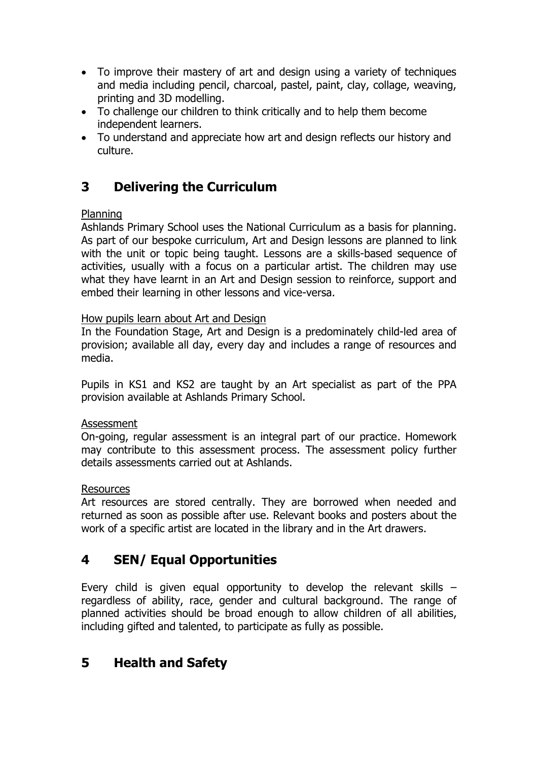- To improve their mastery of art and design using a variety of techniques and media including pencil, charcoal, pastel, paint, clay, collage, weaving, printing and 3D modelling.
- To challenge our children to think critically and to help them become independent learners.
- To understand and appreciate how art and design reflects our history and culture.

### **3 Delivering the Curriculum**

#### Planning

Ashlands Primary School uses the National Curriculum as a basis for planning. As part of our bespoke curriculum, Art and Design lessons are planned to link with the unit or topic being taught. Lessons are a skills-based sequence of activities, usually with a focus on a particular artist. The children may use what they have learnt in an Art and Design session to reinforce, support and embed their learning in other lessons and vice-versa.

#### How pupils learn about Art and Design

In the Foundation Stage, Art and Design is a predominately child-led area of provision; available all day, every day and includes a range of resources and media.

Pupils in KS1 and KS2 are taught by an Art specialist as part of the PPA provision available at Ashlands Primary School.

#### Assessment

On-going, regular assessment is an integral part of our practice. Homework may contribute to this assessment process. The assessment policy further details assessments carried out at Ashlands.

#### Resources

Art resources are stored centrally. They are borrowed when needed and returned as soon as possible after use. Relevant books and posters about the work of a specific artist are located in the library and in the Art drawers.

### **4 SEN/ Equal Opportunities**

Every child is given equal opportunity to develop the relevant skills  $$ regardless of ability, race, gender and cultural background. The range of planned activities should be broad enough to allow children of all abilities, including gifted and talented, to participate as fully as possible.

## **5 Health and Safety**